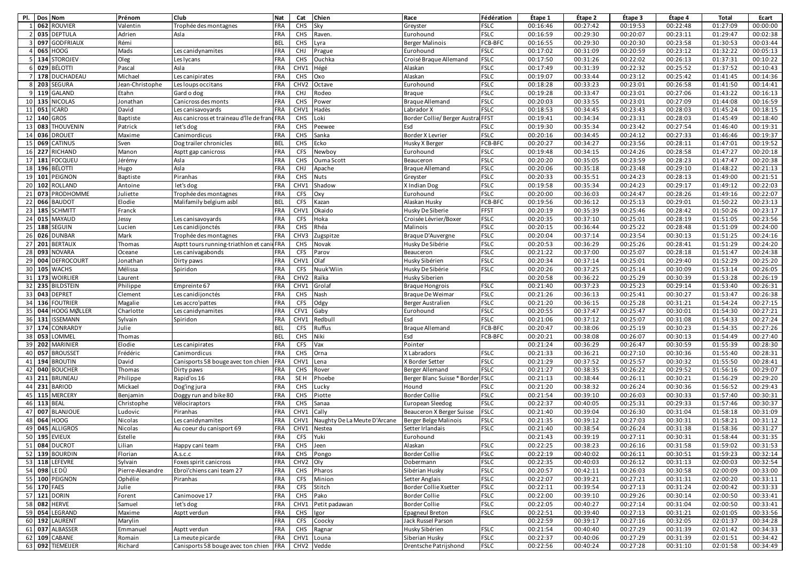| PI.             |                 | Dos Nom            | Prénom           | Club                                        | Nat        | Cat              | Chien                        | Race                              | Fédération  | Étape 1  | Étape 2  | Étape 3  | Étape 4  | Total    | Ecart    |
|-----------------|-----------------|--------------------|------------------|---------------------------------------------|------------|------------------|------------------------------|-----------------------------------|-------------|----------|----------|----------|----------|----------|----------|
|                 |                 | 062 ROUVIER        | Valentin         | Trophée des montagnes                       | FRA        | CHS              | Sky                          | Greyster                          | <b>FSLC</b> | 00:16:46 | 00:27:42 | 00:19:53 | 00:22:48 | 01:27:09 | 00:00:00 |
|                 | 035             | <b>DEPTULA</b>     | Adrien           | Asla                                        | FRA        | CHS              | Raven.                       | Eurohound                         | <b>FSLC</b> | 00:16:59 | 00:29:30 | 00:20:07 | 00:23:11 | 01:29:47 | 00:02:38 |
|                 | 097             | <b>GODFRIAUX</b>   | Rémi             |                                             | <b>BEL</b> | <b>CHS</b>       | Lyra                         | <b>Berger Malinois</b>            | FCB-BFC     | 00:16:55 | 00:29:30 | 00:20:30 | 00:23:58 | 01:30:53 | 00:03:44 |
| $\overline{a}$  | 065             | <b>HOOG</b>        | Mads             | Les canidynamites                           | FRA        | CHJ              | Prague                       | Eurohound                         | <b>FSLC</b> | 00:17:02 | 00:31:09 | 00:20:59 | 00:23:12 | 01:32:22 | 00:05:13 |
| 5               | 134             | <b>STOROJEV</b>    | Oleg             | Les lycans                                  | FRA        | CHS              | Ouchka                       | Croisé Braque Allemand            | <b>FSLC</b> | 00:17:50 | 00:31:26 | 00:22:02 | 00:26:13 | 01:37:31 | 00:10:22 |
| 6               | 029             | <b>BÉLOTTI</b>     | Pascal           | Asla                                        | FRA        | CHV1             | Hégé                         | Alaskan                           | <b>FSLC</b> | 00:17:49 | 00:31:39 | 00:22:32 | 00:25:52 | 01:37:52 | 00:10:43 |
|                 |                 | 7 178 DUCHADEAU    | Michael          | Les canipirates                             | FRA        | CHS              | Oxo                          | Alaskan                           | <b>FSLC</b> | 00:19:07 | 00:33:44 | 00:23:12 | 00:25:42 | 01:41:45 | 00:14:36 |
| 8               |                 | 203 SEGURA         | Jean-Christophe  | Les loups occitans                          | FRA        | CHV <sub>2</sub> | Octave                       | Eurohound                         | <b>FSLC</b> | 00:18:28 | 00:33:23 | 00:23:01 | 00:26:58 | 01:41:50 | 00:14:41 |
|                 |                 | 9 119 GALAND       | Etahn            | Gard o dog                                  | <b>FRA</b> | <b>CHJ</b>       | Rodeo                        | <b>Braque</b>                     | <b>FSLC</b> | 00:19:28 | 00:33:47 | 00:23:01 | 00:27:06 | 01:43:22 | 00:16:13 |
|                 |                 | 10 135 NICOLAS     | Jonathan         | Canicross des monts                         | FRA        | CHS              | Power                        | Braque Allemand                   | <b>FSLC</b> | 00:20:03 | 00:33:55 | 00:23:01 | 00:27:09 | 01:44:08 | 00:16:59 |
|                 |                 | 11 051 ICARD       | David            | Les canisavoyards                           | <b>FRA</b> | CHV1             | Hadès                        | Labrador X                        | <b>FSLC</b> | 00:18:53 | 00:34:45 | 00:23:43 | 00:28:03 | 01:45:24 | 00:18:15 |
|                 |                 | 12 140 GROS        | Baptiste         | Ass canicross et traineau d'île de francFRA |            | CHS              | Loki                         | Border Collie/ Berger Austra FFST |             | 00:19:41 | 00:34:34 | 00:23:31 | 00:28:03 | 01:45:49 | 00:18:40 |
|                 | 13 083          | <b>THOUVENIN</b>   | Patrick          | let's dog                                   | FRA        | CHS              | Peewee                       | Esd                               | <b>FSLC</b> | 00:19:30 | 00:35:34 | 00:23:42 | 00:27:54 | 01:46:40 | 00:19:31 |
| 14              | 036             | <b>DROUET</b>      | Maxime           | Canimordicus                                | FRA        | CHS              | Sanka                        | Border X Levrier                  | <b>FSLC</b> | 00:20:16 | 00:34:45 | 00:24:12 | 00:27:33 | 01:46:46 | 00:19:37 |
| 15 <sup>1</sup> | 069             | CATINUS            | Sven             | Dog trailer chronicles                      | <b>BEL</b> | CHS              | Ecko                         | Husky X Berger                    | FCB-BFC     | 00:20:27 | 00:34:27 | 00:23:56 | 00:28:11 | 01:47:01 | 00:19:52 |
| 16              |                 | 227 RICHAND        | Manon            | Asptt gap canicross                         | FRA        | <b>CFS</b>       | Newboy                       | Eurohound                         | <b>FSLC</b> | 00:19:48 | 00:34:15 | 00:24:26 | 00:28:58 | 01:47:27 | 00:20:18 |
|                 |                 | 17 181 FOCQUEU     | Jérémy           | Asla                                        | FRA        | CHS              | Ouma Scott                   | Beauceron                         | <b>FSLC</b> | 00:20:20 | 00:35:05 | 00:23:59 | 00:28:23 | 01:47:47 | 00:20:38 |
|                 | 18 196          | BÉLOTTI            | Hugo             | Asla                                        | FRA        | <b>CHJ</b>       | Apache                       | <b>Braque Allemand</b>            | <b>FSLC</b> | 00:20:06 | 00:35:18 | 00:23:48 | 00:29:10 | 01:48:22 | 00:21:13 |
| 19              | 101             | PEIGNON            | Baptiste         | Piranhas                                    | FRA        | CHS              | <b>Nuts</b>                  | Greyster                          | <b>FSLC</b> | 00:20:33 | 00:35:51 | 00:24:23 | 00:28:13 | 01:49:00 | 00:21:51 |
| 20 <sup>1</sup> | 102             | ROLLAND            | Antoine          | let's dog                                   | FRA        | CHV1             | Shadow                       | X Indian Dog                      | <b>FSLC</b> | 00:19:58 | 00:35:34 | 00:24:23 | 00:29:17 | 01:49:12 | 00:22:03 |
| 21              | 073             | PRODHOMME          | Juliette         | Trophée des montagnes                       | FRA        | <b>CFS</b>       | Oxy                          | Eurohound                         | <b>FSLC</b> | 00:20:00 | 00:36:03 | 00:24:47 | 00:28:26 | 01:49:16 | 00:22:07 |
| 22              | 066             | <b>BAUDOT</b>      | Elodie           | Malifamily belgium asbl                     | <b>BEL</b> | CFS              | Kazan                        | Alaskan Husky                     | FCB-BFC     | 00:19:56 | 00:36:12 | 00:25:13 | 00:29:01 | 01:50:22 | 00:23:13 |
| 23              | 185             | <b>SCHMITT</b>     | Franck           |                                             | FRA        | CHV1             | Okaido                       | Husky De Siberie                  | FFST        | 00:20:19 | 00:35:39 | 00:25:46 | 00:28:42 | 01:50:26 | 00:23:17 |
|                 |                 | 24 015 MAYAUD      | Jessy            | Les canisavoyards                           | FRA        | <b>CFS</b>       | Hoka                         | Croisée Lévrier/Boxer             | <b>FSLC</b> | 00:20:35 | 00:37:10 | 00:25:01 | 00:28:19 | 01:51:05 | 00:23:56 |
|                 | 25 188          | SEGUIN             | Lucien           | Les canidijonctés                           | FRA        | CHS              | Rhéa                         | Malinois                          | <b>FSLC</b> | 00:20:15 | 00:36:44 | 00:25:22 | 00:28:48 | 01:51:09 | 00:24:00 |
|                 |                 | 26 026 DUNBAR      | Mark             | Trophée des montagnes                       | <b>FRA</b> | CHV3             | Zugspitze                    | Braque D'Auvergne                 | <b>FSLC</b> | 00:20:04 | 00:37:14 | 00:23:54 | 00:30:13 | 01:51:25 | 00:24:16 |
|                 |                 | 27 201 BERTAUX     | Thomas           | Asptt tours running-triathlon et cani FRA   |            | CHS              | Novak                        | Husky De Sibérie                  | <b>FSLC</b> | 00:20:53 | 00:36:29 | 00:25:26 | 00:28:41 | 01:51:29 | 00:24:20 |
|                 | 28 093          | <b>NOVARA</b>      | Oceane           | Les canivagabonds                           | FRA        | CFS              | Parov                        | Beauceron                         | <b>FSLC</b> | 00:21:22 | 00:37:00 | 00:25:07 | 00:28:18 | 01:51:47 | 00:24:38 |
| 29              | 004             | <b>DEFROCOURT</b>  | Jonathan         | Dirty paws                                  | FRA        | CHV1             | Olaf                         | Husky Sibérien                    | <b>FSLC</b> | 00:20:34 | 00:37:14 | 00:25:01 | 00:29:40 | 01:52:29 | 00:25:20 |
| 30 <sup>1</sup> |                 | 105 WACHS          | Mélissa          | Spiridon                                    | FRA        | <b>CFS</b>       | Nuuk'Wiin                    | Husky De Sibérie                  | <b>FSLC</b> | 00:20:26 | 00:37:25 | 00:25:14 | 00:30:09 | 01:53:14 | 00:26:05 |
| 31              |                 | 173 WOIRLIER       | Laurent          |                                             | FRA        | CHV <sub>2</sub> | Raïka                        | Husky Siberien                    |             | 00:20:58 | 00:36:22 | 00:25:29 | 00:30:39 | 01:53:28 | 00:26:19 |
| 32              | 235             | <b>BILDSTEIN</b>   | Philippe         | Empreinte 67                                | FRA        | CHV1             | Grolaf                       | Braque Hongrois                   | <b>FSLC</b> | 00:21:40 | 00:37:23 | 00:25:23 | 00:29:14 | 01:53:40 | 00:26:31 |
| 33              | 043             | <b>DEPRET</b>      | Clement          | Les canidijonctés                           | FRA        | CHS              | Nash                         | Braque De Weimar                  | <b>FSLC</b> | 00:21:26 | 00:36:13 | 00:25:41 | 00:30:27 | 01:53:47 | 00:26:38 |
|                 | 34 136          | <b>FOUTRIER</b>    | Magalie          | Les accro'pattes                            | FRA        | <b>CFS</b>       | Odgy                         | Berger Australien                 | <b>FSLC</b> | 00:21:20 | 00:36:15 | 00:25:28 | 00:31:21 | 01:54:24 | 00:27:15 |
| 35              | 044             | <b>HOOG MØLLER</b> | Charlotte        | Les canidynamites                           | FRA        | CFV1             | Gaby                         | Eurohound                         | <b>FSLC</b> | 00:20:55 | 00:37:47 | 00:25:47 | 00:30:01 | 01:54:30 | 00:27:21 |
| 36              | 131             | <b>ISSEMANN</b>    | Sylvain          | Spiridon                                    | <b>FRA</b> | CHV1             | Redbull                      | Esd                               | <b>FSLC</b> | 00:21:06 | 00:37:12 | 00:25:07 | 00:31:08 | 01:54:33 | 00:27:24 |
|                 | 37 174          | CONRARDY           | Julie            |                                             | <b>BEL</b> | <b>CFS</b>       | Ruffus                       | <b>Braque Allemand</b>            | FCB-BFC     | 00:20:47 | 00:38:06 | 00:25:19 | 00:30:23 | 01:54:35 | 00:27:26 |
|                 | 38 053          | LOMMEL             | Thomas           |                                             | <b>BEL</b> | CHS              | Niki                         | Esd                               | FCB-BFC     | 00:20:21 | 00:38:08 | 00:26:07 | 00:30:13 | 01:54:49 | 00:27:40 |
| 39              | 202             | <b>MARINIER</b>    | Elodie           | Les canipirates                             | FRA        | CFS              | Vax                          | Pointer                           |             | 00:21:24 | 00:36:29 | 00:26:47 | 00:30:59 | 01:55:39 | 00:28:30 |
| 40              |                 | 057 BROUSSET       | Frédéric         | Canimordicus                                | FRA        | CHS              | Orna                         | X Labradors                       | <b>FSLC</b> | 00:21:33 | 00:36:21 | 00:27:10 | 00:30:36 | 01:55:40 | 00:28:31 |
|                 |                 | 41 194 BROUTIN     | David            | Canisports 58 bouge avec ton chien          | <b>FRA</b> | CHV1             | Lena                         | X Border Setter                   | <b>FSLC</b> | 00:21:29 | 00:37:52 | 00:25:57 | 00:30:32 | 01:55:50 | 00:28:41 |
|                 |                 | 42 040 BOUCHER     | Thomas           | Dirty paws                                  | FRA        | CHS              | Rover                        | Berger Allemand                   | <b>FSLC</b> | 00:21:27 | 00:38:35 | 00:26:22 | 00:29:52 | 01:56:16 | 00:29:07 |
|                 |                 | 43 211 BRUNEAU     | Philippe         | Rapid'os 16                                 | FRA        | SE <sub>H</sub>  | Phoebe                       | Berger Blanc Suisse * Border FSLC |             | 00:21:13 | 00:38:44 | 00:26:11 | 00:30:21 | 01:56:29 | 00:29:20 |
| 44              |                 | 231 BARIOD         | Mickael          | Dog'ing jura                                | FRA        | CHS              | Lucky                        | Hound                             | <b>FSLC</b> | 00:21:20 | 00:38:32 | 00:26:24 | 00:30:36 | 01:56:52 | 00:29:43 |
| 45              |                 | 115 MERCERY        | Benjamin         | Doggy run and bike 80                       | FRA        | CHS              | Piotte                       | Border Collie                     | <b>FSLC</b> | 00:21:54 | 00:39:10 | 00:26:03 | 00:30:33 | 01:57:40 | 00:30:31 |
| 46              | <b>113 BEAL</b> |                    | Christophe       | Vélociraptors                               | FRA        | CHS              | Sanaa                        | European Sleedog                  | <b>FSLC</b> | 00:22:37 | 00:40:05 | 00:25:31 | 00:29:33 | 01:57:46 | 00:30:37 |
| 47              |                 | 007 BLANJOUE       | Ludovic          | Piranhas                                    | FRA        | CHV1             | Cally                        | Beauceron X Berger Suisse         | <b>FSLC</b> | 00:21:40 | 00:39:04 | 00:26:30 | 00:31:04 | 01:58:18 | 00:31:09 |
| 48              | 064             | <b>HOOG</b>        | Nicolas          | Les canidynamites                           | FRA        | CHV1             | Naughty De La Meute D'Arcane | Berger Belge Malinois             | <b>FSLC</b> | 00:21:35 | 00:39:12 | 00:27:03 | 00:30:31 | 01:58:21 | 00:31:12 |
| 49              | 045             | <b>ALLIGROS</b>    | Nicolas          | Au coeur du canisport 69                    | FRA        | CHV1             | Nestea                       | Setter Irlandais                  | <b>FSLC</b> | 00:21:40 | 00:38:54 | 00:26:24 | 00:31:38 | 01:58:36 | 00:31:27 |
|                 |                 | 50 195 EVIEUX      | Estelle          |                                             | FRA        | <b>CFS</b>       | Yuki                         | Eurohound                         |             | 00:21:43 | 00:39:19 | 00:27:11 | 00:30:31 | 01:58:44 | 00:31:35 |
|                 |                 | 51 084 DUCROT      | Lilian           | Happy cani team                             | FRA        | CHS              | Jeen                         | Alaskan                           | <b>FSLC</b> | 00:22:25 | 00:38:23 | 00:26:16 | 00:31:58 | 01:59:02 | 00:31:53 |
|                 |                 | 52 139 BOURDIN     | Florian          | A.s.c.c                                     | FRA        | CHS              | Pongo                        | <b>Border Collie</b>              | <b>FSLC</b> | 00:22:19 | 00:40:02 | 00:26:11 | 00:30:51 | 01:59:23 | 00:32:14 |
|                 |                 | 53 118 LEFEVRE     | Sylvain          | Foxes spirit canicross                      | FRA        | CHV <sub>2</sub> | Oly                          | Dobermann                         | <b>FSLC</b> | 00:22:35 | 00:40:03 | 00:26:12 | 00:31:13 | 02:00:03 | 00:32:54 |
|                 |                 | 54 098 LEDÛ        | Pierre-Alexandre | Ebroï'chiens cani team 27                   | FRA        | CHS              | Pharos                       | Sibérian Husky                    | <b>FSLC</b> | 00:20:57 | 00:42:11 | 00:26:03 | 00:30:58 | 02:00:09 | 00:33:00 |
|                 |                 | 55 100 PEIGNON     | Ophélie          | Piranhas                                    | FRA        | <b>CFS</b>       | Minion                       | Setter Anglais                    | <b>FSLC</b> | 00:22:07 | 00:39:21 | 00:27:21 | 00:31:31 | 02:00:20 | 00:33:11 |
|                 | 56 170 FAES     |                    | Julie            |                                             | FRA        | <b>CFS</b>       | Stitch                       | Border Collie Xsetter             | <b>FSLC</b> | 00:22:11 | 00:39:54 | 00:27:13 | 00:31:24 | 02:00:42 | 00:33:33 |
|                 |                 | 57 121 DORIN       | Forent           | Canimoove 17                                | FRA        | CHS              | Pako                         | Border Collie                     | <b>FSLC</b> | 00:22:00 | 00:39:10 | 00:29:26 | 00:30:14 | 02:00:50 | 00:33:41 |
|                 |                 | 58 082 HERVE       | Samuel           | let's dog                                   | <b>FRA</b> | CHV1             | Petit padawan                | Border Collie                     | <b>FSLC</b> | 00:22:05 | 00:40:27 | 00:27:14 | 00:31:04 | 02:00:50 | 00:33:41 |
|                 |                 | 59 054 LEGRAND     | Maxime           | Asptt verdun                                | FRA        | CHS              | Igor                         | Epagneul Breton                   | <b>FSLC</b> | 00:22:51 | 00:39:40 | 00:27:13 | 00:31:21 | 02:01:05 | 00:33:56 |
|                 |                 | 60 192 LAURENT     | Marylin          |                                             | <b>FRA</b> | <b>CFS</b>       | Coocky                       | Jack Russel Parson                |             | 00:22:59 | 00:39:17 | 00:27:16 | 00:32:05 | 02:01:37 | 00:34:28 |
|                 |                 | 61 037 ALBASSER    | Emmanuel         | Asptt verdun                                | FRA        | CHS              | Ragnar                       | Husky Sibérien                    | <b>FSLC</b> | 00:21:54 | 00:40:40 | 00:27:29 | 00:31:39 | 02:01:42 | 00:34:33 |
|                 |                 | 62 109 CABANE      | Romain           | La meute picarde                            | <b>FRA</b> | CHV1             | Louna                        | Siberian Husky                    | <b>FSLC</b> | 00:22:37 | 00:40:06 | 00:27:29 | 00:31:39 | 02:01:51 | 00:34:42 |
|                 |                 | 63 092 TIEMEIJER   | Richard          | Canisports 58 bouge avec ton chien FRA      |            |                  | CHV2 Vedde                   | Drentsche Patrijshond             | <b>FSLC</b> | 00:22:56 | 00:40:24 | 00:27:28 | 00:31:10 | 02:01:58 | 00:34:49 |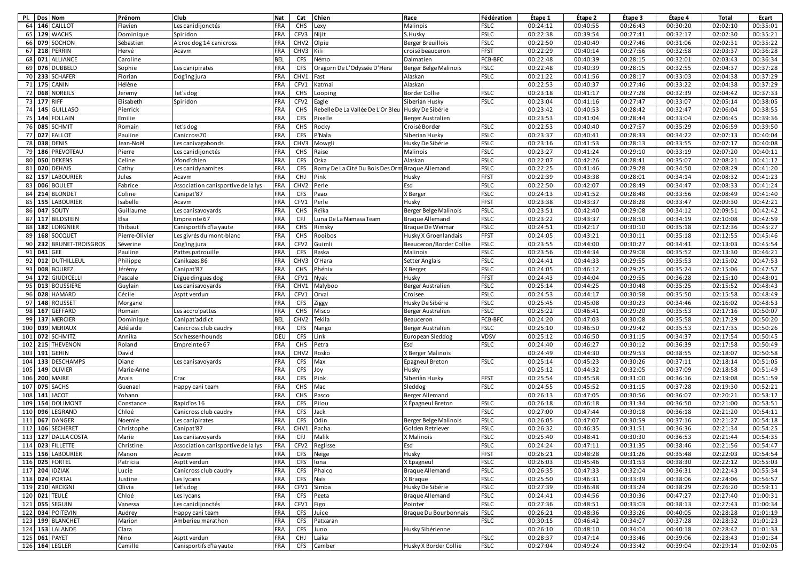| PI. 1 | Dos Nom     |                         | Prénom         | Club                               | Nat        | Cat              | Chien                             | Race                     | Fédération  | Étape 1  | Étape 2  | Étape 3  | Étape 4  | Total    | Ecart    |
|-------|-------------|-------------------------|----------------|------------------------------------|------------|------------------|-----------------------------------|--------------------------|-------------|----------|----------|----------|----------|----------|----------|
| 64    | 146         | CAILLOT                 | Flavien        | Les canidijonctés                  | FRA        | CHS              | Lexy                              | Malinois                 | <b>FSLC</b> | 00:24:12 | 00:40:55 | 00:26:43 | 00:30:20 | 02:02:10 | 00:35:01 |
| 65    | 129         | <b>WACHS</b>            | Dominique      | Spiridon                           | FRA        | CFV3             | Nijit                             | S.Husky                  | <b>FSLC</b> | 00:22:38 | 00:39:54 | 00:27:41 | 00:32:17 | 02:02:30 | 00:35:21 |
| 66    | 079         | SOCHON                  | Sébastien      | A'croc dog 14 canicross            | <b>FRA</b> | CHV <sub>2</sub> | Olpie                             | <b>Berger Breuillois</b> | <b>FSLC</b> | 00:22:50 | 00:40:49 | 00:27:46 | 00:31:06 | 02:02:31 | 00:35:22 |
| 67    | 218         | PERRIN                  | Hervé          | Acavm                              | FRA        | CHV3             | Kili                              | croisé beauceron         | <b>FFST</b> | 00:22:29 | 00:40:14 | 00:27:56 | 00:32:58 | 02:03:37 | 00:36:28 |
|       | 68 071      | <b>ALLIANCE</b>         | Caroline       |                                    | <b>BEL</b> | <b>CFS</b>       | Némo                              | Dalmatien                | FCB-BFC     | 00:22:48 | 00:40:39 | 00:28:15 | 00:32:01 | 02:03:43 | 00:36:34 |
| 69    | 076         | <b>DUBBELD</b>          | Sophie         | Les canipirates                    | FRA        | <b>CFS</b>       | Oragorn De L'Odyssée D'Hera       | Berger Belge Malinois    | <b>FSLC</b> | 00:22:48 | 00:40:39 | 00:28:15 | 00:32:55 | 02:04:37 | 00:37:28 |
|       | 70 233      | <b>SCHAFER</b>          | Florian        | Dog'ing jura                       | FRA        | CHV1             | Fast                              | Alaskan                  | <b>FSLC</b> | 00:21:22 | 00:41:56 | 00:28:17 | 00:33:03 | 02:04:38 | 00:37:29 |
|       | 71 175      | CANIN                   | Hélène         |                                    | FRA        | CFV1             | Katmai                            | Alaskan                  |             | 00:22:53 | 00:40:37 | 00:27:46 | 00:33:22 | 02:04:38 | 00:37:29 |
|       |             | 72 068 NOREILS          | Jeremy         | let's dog                          | FRA        | <b>CHS</b>       | Looping                           | Border Collie            | <b>FSLC</b> | 00:23:18 | 00:41:17 | 00:27:28 | 00:32:39 | 02:04:42 | 00:37:33 |
|       | 73 177 RIFF |                         | Elisabeth      | Spiridon                           | FRA        | CFV <sub>2</sub> | Eagle                             | Siberian Husky           | <b>FSLC</b> | 00:23:04 | 00:41:16 | 00:27:47 | 00:33:07 | 02:05:14 | 00:38:05 |
|       |             | 74 145 GUILLASO         | Pierrick       |                                    | FRA        | <b>CHS</b>       | Rebelle De La Vallée De L'Or Bleu | Husky De Sibérie         |             | 00:23:42 | 00:40:53 | 00:28:42 | 00:32:47 | 02:06:04 | 00:38:55 |
| 75    | 144         | <b>FOLLAIN</b>          | Emilie         |                                    | FRA        | <b>CFS</b>       | Pixelle                           | <b>Berger Australien</b> |             | 00:23:53 | 00:41:04 | 00:28:44 | 00:33:04 | 02:06:45 | 00:39:36 |
|       | 76 085      | <b>SCHMIT</b>           | Romain         | let's dog                          | FRA        | CHS              | Rocky                             | Croisé Border            | <b>FSLC</b> | 00:22:53 | 00:40:40 | 00:27:57 | 00:35:29 | 02:06:59 | 00:39:50 |
| 77    | 027         | <b>FALLOT</b>           | Pauline        | Canicross70                        | FRA        | CFS              | P'Nala                            | Siberian Husky           | <b>FSLC</b> | 00:23:37 | 00:40:41 | 00:28:33 | 00:34:22 | 02:07:13 | 00:40:04 |
| 78    | 038         | <b>DENIS</b>            | Jean-Noël      | Les canivagabonds                  | FRA        | CHV3             | Mowgli                            | Husky De Sibérie         | <b>FSLC</b> | 00:23:16 | 00:41:53 | 00:28:13 | 00:33:55 | 02:07:17 | 00:40:08 |
| 79    | 186         | PREVOTEAU               | Pierre         | Les canidijonctés                  | FRA        | CHS              | Raise                             | Malinois                 | <b>FSLC</b> | 00:23:27 | 00:41:24 | 00:29:10 | 00:33:19 | 02:07:20 | 00:40:11 |
| 80    | 050         | <b>DEKENS</b>           | Celine         | Afond'chien                        | FRA        | <b>CFS</b>       | Oska                              | Alaskan                  | <b>FSLC</b> | 00:22:07 | 00:42:26 | 00:28:41 | 00:35:07 | 02:08:21 | 00:41:12 |
| 81    | 020         | <b>DEHAIS</b>           | Cathy          | Les canidynamites                  | FRA        | <b>CFS</b>       | Romy De La Cité Du Bois Des Ori   | <b>Braque Allemand</b>   | <b>FSLC</b> | 00:22:25 | 00:41:46 | 00:29:28 | 00:34:50 | 02:08:29 | 00:41:20 |
| 82    | 157         | LABOURIER               | Jules          | Acavm                              | FRA        | <b>CHJ</b>       | Pink                              | Husky                    | FFST        | 00:22:39 | 00:43:38 | 00:28:01 | 00:34:14 | 02:08:32 | 00:41:23 |
| 83    | 006         | <b>BOULET</b>           | Fabrice        | Association canisportive de la lys | <b>FRA</b> | CHV <sub>2</sub> | Perle                             | Esd                      | <b>FSLC</b> | 00:22:50 | 00:42:07 | 00:28:49 | 00:34:47 | 02:08:33 | 00:41:24 |
| 84    | 214         | <b>BLONDET</b>          | Coline         | Canipat'87                         | FRA        | <b>CFS</b>       | Paao                              | X Berger                 | <b>FSLC</b> | 00:24:13 | 00:41:52 | 00:28:48 | 00:33:56 | 02:08:49 | 00:41:40 |
| 85    | 155         | <b>LABOURIER</b>        | Isabelle       | Acavm                              | FRA        | CFV1             | Perle                             | Husky                    | FFST        | 00:23:38 | 00:43:37 | 00:28:28 | 00:33:47 | 02:09:30 | 00:42:21 |
| 86    | 047         | SOUTY                   | Guillaume      | Les canisavoyards                  | FRA        | CHS              | Reïka                             | Berger Belge Malinois    | <b>FSLC</b> | 00:23:51 | 00:42:40 | 00:29:08 | 00:34:12 | 02:09:51 | 00:42:42 |
|       |             | 87 117 BILDSTEIN        | Elsa           | Empreinte 67                       | FRA        | <b>CFJ</b>       | Luna De La Namasa Team            | <b>Braque Allemand</b>   | <b>FSLC</b> | 00:23:22 | 00:43:37 | 00:28:50 | 00:34:19 | 02:10:08 | 00:42:59 |
| 88    | 182         | LORGNIER                | Thibaut        | Canisportifs d'la yaute            | FRA        | CHS              | Rimsky                            | Braque De Weimar         | <b>FSLC</b> | 00:24:51 | 00:42:17 | 00:30:10 | 00:35:18 | 02:12:36 | 00:45:27 |
|       |             | 89 168 SOCQUET          | Pierre-Olivier | Les givrés du mont-blanc           | <b>FRA</b> | CHS              | Rooibos                           | Husky X Groenlandais     | <b>FFST</b> | 00:24:05 | 00:43:21 | 00:30:11 | 00:35:18 | 02:12:55 | 00:45:46 |
| 90    | 232         | <b>BRUNET-TROISGROS</b> | Séverine       | Dog'ing jura                       | FRA        | CFV <sub>2</sub> | Guimli                            | Beauceron/Border Collie  | <b>FSLC</b> | 00:23:55 | 00:44:00 | 00:30:27 | 00:34:41 | 02:13:03 | 00:45:54 |
| 91    | 041 GEE     |                         | Pauline        | Pattes patrouille                  | <b>FRA</b> | CFS              | Raska                             | Malinois                 | <b>FSLC</b> | 00:23:56 | 00:44:34 | 00:29:08 | 00:35:52 | 02:13:30 | 00:46:21 |
| 92    | 012         | <b>DUTHILLEUL</b>       | Philippe       | Canikazes 86                       | FRA        | CHV3             | O'Hara                            | Setter Anglais           | <b>FSLC</b> | 00:24:41 | 00:44:33 | 00:29:55 | 00:35:53 | 02:15:02 | 00:47:53 |
| 93    |             | 008 BOUREZ              | Jérémy         | Canipat'87                         | FRA        | CHS              | Phénix                            | X Berger                 | <b>FSLC</b> | 00:24:05 | 00:46:12 | 00:29:25 | 00:35:24 | 02:15:06 | 00:47:57 |
| 94    | 172         | <b>GIUDICELLI</b>       | Pascale        | Digue dingues dog                  | FRA        | CFV1             | Nyak                              | Husky                    | <b>FFST</b> | 00:24:43 | 00:44:04 | 00:29:55 | 00:36:28 | 02:15:10 | 00:48:01 |
| 95    | 013         | <b>BOUSSIERE</b>        | Guylain        | Les canisavoyards                  | FRA        | CHV1             | Malyboo                           | Berger Australien        | <b>FSLC</b> | 00:25:14 | 00:44:25 | 00:30:48 | 00:35:25 | 02:15:52 | 00:48:43 |
| 96    | 028         | <b>HAMARD</b>           | Cécile         | Asptt verdun                       | FRA        | CFV1             | Orval                             | Croisee                  | <b>FSLC</b> | 00:24:53 | 00:44:17 | 00:30:58 | 00:35:50 | 02:15:58 | 00:48:49 |
|       |             | 97 148 ROUSSET          | Morgane        |                                    | FRA        | <b>CFS</b>       | Ziggy                             | Husky De Sibérie         | <b>FSLC</b> | 00:25:45 | 00:45:08 | 00:30:23 | 00:34:46 | 02:16:02 | 00:48:53 |
| 98    | 167         | <b>GEFFARD</b>          | Romain         | Les accro'pattes                   | FRA        | CHS              | Misco                             | Berger Australien        | <b>FSLC</b> | 00:25:22 | 00:46:41 | 00:29:20 | 00:35:53 | 02:17:16 | 00:50:07 |
| 99    | 137         | <b>MERCIER</b>          | Dominique      | Canipat'addict                     | <b>BEL</b> | CHV <sub>2</sub> | Tekila                            | Beauceron                | FCB-BFC     | 00:24:20 | 00:47:03 | 00:30:08 | 00:35:58 | 02:17:29 | 00:50:20 |
| 100   | 039         | <b>MERIAUX</b>          | Adélaïde       | Canicross club caudry              | <b>FRA</b> | <b>CFS</b>       | Nango                             | Berger Australien        | <b>FSLC</b> | 00:25:10 | 00:46:50 | 00:29:42 | 00:35:53 | 02:17:35 | 00:50:26 |
| 101   | 072         | <b>SCHMITZ</b>          | Annika         | Scv hessenhounds                   | DEU        | <b>CFS</b>       | Link                              | European Sleddog         | VDSV        | 00:25:12 | 00:46:50 | 00:31:15 | 00:34:37 | 02:17:54 | 00:50:45 |
| 102   | 215         | THEVENON                | Roland         | Empreinte 67                       | FRA        | CHS              | Petra                             | Esd                      | <b>FSLC</b> | 00:24:40 | 00:46:27 | 00:30:12 | 00:36:39 | 02:17:58 | 00:50:49 |
| 103   | 191         | <b>GEHIN</b>            | David          |                                    | FRA        | CHV <sub>2</sub> | Rosko                             | X Berger Malinois        |             | 00:24:49 | 00:44:30 | 00:29:53 | 00:38:55 | 02:18:07 | 00:50:58 |
| 104   |             | 133 DESCHAMPS           | Diane          | Les canisavoyards                  | FRA        | CFS              | Max                               | <b>Epagneul Breton</b>   | <b>FSLC</b> | 00:25:14 | 00:45:23 | 00:30:26 | 00:37:11 | 02:18:14 | 00:51:05 |
| 105   |             | 149 OLIVIER             | Marie-Anne     |                                    | FRA        | <b>CFS</b>       | Joy                               | Husky                    |             | 00:25:12 | 00:44:32 | 00:32:05 | 00:37:09 | 02:18:58 | 00:51:49 |
| 106   |             | 200 MAIRE               | Anais          | Crac                               | FRA        | <b>CFS</b>       | Pink                              | Siberiàn Husky           | <b>FFST</b> | 00:25:54 | 00:45:58 | 00:31:00 | 00:36:16 | 02:19:08 | 00:51:59 |
| 107   | 075         | <b>SACHS</b>            | Guenael        | Happy cani team                    | FRA        | CHS              | Mac                               | Sleddog                  | <b>FSLC</b> | 00:24:55 | 00:45:52 | 00:31:15 | 00:37:28 | 02:19:30 | 00:52:21 |
| 108   | 141         | <b>JACOT</b>            | Yohann         |                                    | FRA        | CHS              | Pasco                             | Berger Allemand          |             | 00:26:13 | 00:47:05 | 00:30:56 | 00:36:07 | 02:20:21 | 00:53:12 |
| 109   | 154         | <b>DOLIMONT</b>         | Constance      | Rapid'os 16                        | FRA        | CFS              | Pilou                             | X Épagneul Breton        | <b>FSLC</b> | 00:26:18 | 00:46:18 | 00:31:34 | 00:36:50 | 02:21:00 | 00:53:51 |
| 110   | 096         | LEGRAND                 | Chloé          | Canicross club caudry              | FRA        | <b>CFS</b>       | Jack                              |                          | <b>FSLC</b> | 00:27:00 | 00:47:44 | 00:30:18 | 00:36:18 | 02:21:20 | 00:54:11 |
| 111   | 067         | <b>DANGER</b>           | Noemie         | Les canipirates                    | <b>FRA</b> | CFS              | Odin                              | Berger Belge Malinois    | <b>FSLC</b> | 00:26:05 | 00:47:07 | 00:30:59 | 00:37:16 | 02:21:27 | 00:54:18 |
| 112   | 106         | <b>SECHERET</b>         | Christophe     | Canipat'87                         | FRA        | CHV1             | Pacha                             | Golden Retriever         | <b>FSLC</b> | 00:26:32 | 00:46:35 | 00:31:51 | 00:36:36 | 02:21:34 | 00:54:25 |
| 113   |             | 127 DALLA COSTA         | Marie          | Les canisavoyards                  | <b>FRA</b> | CFJ              | Malik                             | X Malinois               | <b>FSLC</b> | 00:25:40 | 00:48:41 | 00:30:30 | 00:36:53 | 02:21:44 | 00:54:35 |
|       |             | 114 023 FILLETTE        | Christine      | Association canisportive de la lys | <b>FRA</b> |                  | CFV2 Reglisse                     | Esd                      | <b>FSLC</b> | 00:24:24 | 00:47:11 | 00:31:35 | 00:38:46 | 02:21:56 | 00:54:47 |
|       |             | 115 156 LABOURIER       | Manon          | Acavm                              | <b>FRA</b> | <b>CFS</b>       | Neige                             | Husky                    | <b>FFST</b> | 00:26:21 | 00:48:28 | 00:31:26 | 00:35:48 | 02:22:03 | 00:54:54 |
|       |             | 116 025 FORTEL          | Patricia       | Asptt verdun                       | <b>FRA</b> | CFS              | Iona                              | X Epagneul               | <b>FSLC</b> | 00:26:03 | 00:45:46 | 00:31:53 | 00:38:30 | 02:22:12 | 00:55:03 |
|       |             | 117 204 IDZIAK          | Lucie          | Canicross club caudry              | <b>FRA</b> | CFS              | Phalco                            | <b>Braque Allemand</b>   | <b>FSLC</b> | 00:26:35 | 00:47:33 | 00:32:04 | 00:36:31 | 02:22:43 | 00:55:34 |
|       |             | 118 024 PORTAL          | Justine        | Les lycans                         | <b>FRA</b> | <b>CFS</b>       | Naïs                              | X Braque                 | <b>FSLC</b> | 00:25:50 | 00:46:31 | 00:33:39 | 00:38:06 | 02:24:06 | 00:56:57 |
|       |             | 119 210 ARCIGNI         | Olivia         | let's dog                          | FRA        | CFV1             | Simba                             | Husky De Sibérie         | <b>FSLC</b> | 00:27:39 | 00:46:48 | 00:33:24 | 00:38:29 | 02:26:20 | 00:59:11 |
|       |             | 120 021 TEULÉ           | Chloé          | Les lycans                         | FRA        | <b>CFS</b>       | Peeta                             | <b>Braque Allemand</b>   | FSLC        | 00:24:41 | 00:44:56 | 00:30:36 | 00:47:27 | 02:27:40 | 01:00:31 |
|       |             | 121 055 SEGUIN          | Vanessa        | Les canidijonctés                  | <b>FRA</b> | CFV1             | Figo                              | Pointer                  | <b>FSLC</b> | 00:27:36 | 00:48:51 | 00:33:03 | 00:38:13 | 02:27:43 | 01:00:34 |
|       |             | 122 034 POITEVIN        | Audrey         | Happy cani team                    | FRA        | <b>CFS</b>       | Juice                             | Braque Du Bourbonnais    | <b>FSLC</b> | 00:26:21 | 00:48:36 | 00:33:26 | 00:40:05 | 02:28:28 | 01:01:19 |
|       |             | 123 199 BLANCHET        | Marion         | Amberieu marathon                  | <b>FRA</b> | <b>CFS</b>       | Patxaran                          |                          | <b>FSLC</b> | 00:30:15 | 00:46:42 | 00:34:07 | 00:37:28 | 02:28:32 | 01:01:23 |
|       |             | 124 153 LALANDE         | Clara          |                                    | FRA        | <b>CFS</b>       | Juno                              | Husky Sibérienne         |             | 00:26:10 | 00:48:10 | 00:34:04 | 00:40:18 | 02:28:42 | 01:01:33 |
|       |             | 125 061 PAYET           | Nino           | Asptt verdun                       | FRA        | <b>CHJ</b>       | Laika                             |                          | <b>FSLC</b> | 00:28:37 | 00:47:14 | 00:33:46 | 00:39:06 | 02:28:43 | 01:01:34 |
|       |             | 126 164 LEGLER          | Camille        | Canisportifs d'la yaute            | FRA        | <b>CFS</b>       | Camber                            | Husky X Border Collie    | <b>FSLC</b> | 00:27:04 | 00:49:24 | 00:33:42 | 00:39:04 | 02:29:14 | 01:02:05 |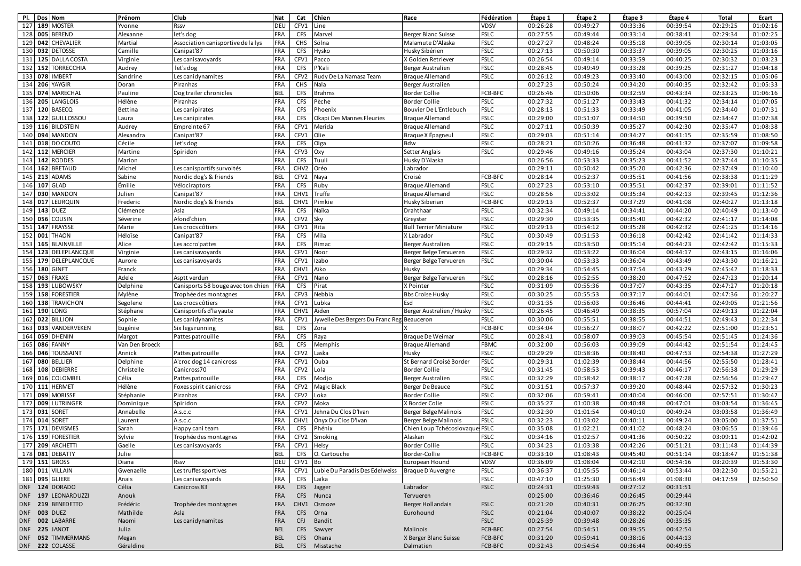| PI. |         | Dos Nom             | Prénom         | <b>Club</b>                            | <b>Nat</b> | Cat              | Chien                            | Race                           | Fédération  | Étape 1  | Étape 2  | Étape 3  | Étape 4  | Total    | Ecart    |
|-----|---------|---------------------|----------------|----------------------------------------|------------|------------------|----------------------------------|--------------------------------|-------------|----------|----------|----------|----------|----------|----------|
| 127 |         | 189 MOSTER          | Yvonne         | Rssv                                   | DEU        | CFV1             | Line                             |                                | VDSV        | 00:26:28 | 00:49:27 | 00:33:36 | 00:39:54 | 02:29:25 | 01:02:16 |
| 128 | 005     | <b>BEREND</b>       | Alexanne       | let's dog                              | FRA        | <b>CFS</b>       | Marvel                           | Berger Blanc Suisse            | <b>FSLC</b> | 00:27:55 | 00:49:44 | 00:33:14 | 00:38:41 | 02:29:34 | 01:02:25 |
|     | 129 042 | CHEVALIER           | Martial        | Association canisportive de la lys     | FRA        | CHS              | Sölna                            | Malamute D'Alaska              | <b>FSLC</b> | 00:27:27 | 00:48:24 | 00:35:18 | 00:39:05 | 02:30:14 | 01:03:05 |
|     | 130 032 | <b>DETOSSE</b>      | Camille        | Canipat'87                             | FRA        | <b>CFS</b>       | Hysko                            | Husky Sibérien                 | <b>FSLC</b> | 00:27:13 | 00:50:30 | 00:33:37 | 00:39:05 | 02:30:25 | 01:03:16 |
|     |         | 131 125 DALLA COSTA | Virginie       | Les canisavoyards                      | FRA        | CFV1             | Pacco                            | X Golden Retriever             | <b>FSLC</b> | 00:26:54 | 00:49:14 | 00:33:59 | 00:40:25 | 02:30:32 | 01:03:23 |
| 132 | 152     | <b>TORRECCHIA</b>   | Audrey         | let's dog                              | FRA        | <b>CFS</b>       | P'Kali                           | Berger Australien              | <b>FSLC</b> | 00:28:45 | 00:49:49 | 00:33:28 | 00:39:25 | 02:31:27 | 01:04:18 |
| 133 | 078     | <b>IMBERT</b>       | Sandrine       | Les canidynamites                      | FRA        | CFV <sub>2</sub> | Rudy De La Namasa Team           | <b>Braque Allemand</b>         | <b>FSLC</b> | 00:26:12 | 00:49:23 | 00:33:40 | 00:43:00 | 02:32:15 | 01:05:06 |
| 134 |         | 206 YAYGIR          | Doran          | Piranhas                               | FRA        | CHS              | Nala                             | Berger Australien              |             | 00:27:23 | 00:50:24 | 00:34:20 | 00:40:35 | 02:32:42 | 01:05:33 |
|     | 135 074 | <b>MARECHAL</b>     | Pauline        | Dog trailer chronicles                 | <b>BEL</b> | <b>CFS</b>       | <b>Brahms</b>                    | <b>Border Collie</b>           | FCB-BFC     | 00:26:46 | 00:50:06 | 00:32:59 | 00:43:34 | 02:33:25 | 01:06:16 |
| 136 | 205     | LANGLOIS            | Hélène         | Piranhas                               | FRA        | <b>CFS</b>       | Pèche                            | <b>Border Collie</b>           | <b>FSLC</b> | 00:27:32 | 00:51:27 | 00:33:43 | 00:41:32 | 02:34:14 | 01:07:05 |
| 137 |         | 120 BASECQ          | Bettina        | Les canipirates                        | FRA        | <b>CFS</b>       | Phoenix                          | Bouvier De L'Entlebuch         | <b>FSLC</b> | 00:28:13 | 00:51:33 | 00:33:49 | 00:41:05 | 02:34:40 | 01:07:31 |
| 138 | 122     | GUILLOSSOU          | Laura          | Les canipirates                        | <b>FRA</b> | <b>CFS</b>       | Okapi Des Mannes Fleuries        | <b>Brague Allemand</b>         | <b>FSLC</b> | 00:29:00 | 00:51:07 | 00:34:50 | 00:39:50 | 02:34:47 | 01:07:38 |
| 139 |         | 116 BILDSTEIN       | Audrey         | Empreinte 67                           | FRA        | CFV1             | Merida                           | <b>Braque Allemand</b>         | <b>FSLC</b> | 00:27:11 | 00:50:39 | 00:35:27 | 00:42:30 | 02:35:47 | 01:08:38 |
| 140 | 094     | <b>MANDON</b>       | Alexandra      | Canipat'87                             | FRA        | CFV1             | Olie                             | Brague X Épagneul              | <b>FSLC</b> | 00:29:03 | 00:51:14 | 00:34:27 | 00:41:15 | 02:35:59 | 01:08:50 |
|     |         | 141 018 DO COUTO    | Cécile         | let's dog                              | FRA        | <b>CFS</b>       | Olga                             | Bdw                            | <b>FSLC</b> | 00:28:21 | 00:50:26 | 00:36:48 | 00:41:32 | 02:37:07 | 01:09:58 |
| 142 | 112     | <b>MERCIER</b>      | Martine        | Spiridon                               | FRA        | CFV3             | Oxy                              | Setter Anglais                 | <b>FSLC</b> | 00:29:46 | 00:49:16 | 00:35:24 | 00:43:04 | 02:37:30 | 01:10:21 |
| 143 | 142     | <b>RODDES</b>       | Marion         |                                        | FRA        | <b>CFS</b>       | Tuuli                            | Husky D'Alaska                 |             | 00:26:56 | 00:53:33 | 00:35:23 | 00:41:52 | 02:37:44 | 01:10:35 |
| 144 | 162     | <b>BRETAUD</b>      | Michel         | Les canisportifs survoltés             | <b>FRA</b> | CHV <sub>2</sub> | Oréo                             | Labrador                       |             | 00:29:11 | 00:50:42 | 00:35:20 | 00:42:36 | 02:37:49 | 01:10:40 |
| 145 | 213     | ADAMS               | Sabine         | Nordic dog's & friends                 | <b>BEL</b> | CFV2             | Naya                             | Croisé                         | FCB-BFC     | 00:28:14 | 00:52:37 | 00:35:51 | 00:41:56 | 02:38:38 | 01:11:29 |
|     |         | 146 107 GLAD        | Émilie         | Vélociraptors                          | FRA        | CFS              | Ruby                             | <b>Braque Allemand</b>         | <b>FSLC</b> | 00:27:23 | 00:53:10 | 00:35:51 | 00:42:37 | 02:39:01 | 01:11:52 |
| 147 | 030     | <b>MANDON</b>       | Julien         | Canipat'87                             | FRA        | CHV1             | Truffe                           | <b>Braque Allemand</b>         | <b>FSLC</b> | 00:28:56 | 00:53:02 | 00:35:34 | 00:42:13 | 02:39:45 | 01:12:36 |
| 148 | 017     | LEURQUIN            | Frederic       | Nordic dog's & friends                 | <b>BEL</b> | CHV1             | Pimkie                           | Husky Siberian                 | FCB-BFC     | 00:29:13 | 00:52:37 | 00:37:29 | 00:41:08 | 02:40:27 | 01:13:18 |
|     | 149 143 | <b>DUEZ</b>         | Clémence       | Asla                                   | FRA        | <b>CFS</b>       | Naïka                            | Drahthaar                      | <b>FSLC</b> | 00:32:34 | 00:49:14 | 00:34:41 | 00:44:20 | 02:40:49 | 01:13:40 |
|     | 150 056 | COUSIN              | Séverine       | Afond'chien                            | FRA        | CFV2             | Sky                              | Greyster                       | <b>FSLC</b> | 00:29:30 | 00:53:35 | 00:35:40 | 00:42:32 | 02:41:17 | 01:14:08 |
| 151 | 147     | <b>FRAYSSE</b>      | Marie          | Les crocs côtiers                      | FRA        | CFV1             | Rita                             | <b>Bull Terrier Miniature</b>  | <b>FSLC</b> | 00:29:13 | 00:54:12 | 00:35:28 | 00:42:32 | 02:41:25 | 01:14:16 |
| 152 | 001     | <b>THAON</b>        | Héloïse        | Canipat'87                             | FRA        | <b>CFS</b>       | Mila                             | X Labrador                     | <b>FSLC</b> | 00:30:49 | 00:51:53 | 00:36:18 | 00:42:42 | 02:41:42 | 01:14:33 |
| 153 | 165     | BLAINVILLE          | Alice          | Les accro'pattes                       | FRA        | CFS              | Rimac                            | Berger Australien              | <b>FSLC</b> | 00:29:15 | 00:53:50 | 00:35:14 | 00:44:23 | 02:42:42 | 01:15:33 |
| 154 |         | 123 DELEPLANCQUE    | Virginie       | Les canisavoyards                      | FRA        | CFV1             | Noor                             | Berger Belge Tervueren         | <b>FSLC</b> | 00:29:32 | 00:53:22 | 00:36:04 | 00:44:17 | 02:43:15 | 01:16:06 |
| 155 |         | 179 DELEPLANCQUE    | Aurore         | Les canisavoyards                      | <b>FRA</b> | CFV1             | Izabo                            | Berger Belge Tervueren         | <b>FSLC</b> | 00:30:04 | 00:53:33 | 00:36:04 | 00:43:49 | 02:43:30 | 01:16:21 |
|     | 156 180 | <b>GINET</b>        | Franck         |                                        | FRA        | CHV1             | Aïko                             | Husky                          |             | 00:29:34 | 00:54:45 | 00:37:54 | 00:43:29 | 02:45:42 | 01:18:33 |
| 157 |         | 063 FRAXE           | Adele          | Asptt verdun                           | FRA        | CFV1             | Nano                             | Berger Belge Tervueren         | <b>FSLC</b> | 00:28:16 | 00:52:55 | 00:38:20 | 00:47:52 | 02:47:23 | 01:20:14 |
|     |         | 158 193 LUBOWSKY    | Delphine       | Canisports 58 bouge avec ton chien FRA |            | <b>CFS</b>       | Pirat                            | X Pointer                      | <b>FSLC</b> | 00:31:09 | 00:55:36 | 00:37:07 | 00:43:35 | 02:47:27 | 01:20:18 |
| 159 |         | 158 FORESTIER       | Mylène         | Trophée des montagnes                  | FRA        | CFV3             | Nebbia                           | <b>Bbs Croise Husky</b>        | <b>FSLC</b> | 00:30:25 | 00:55:53 | 00:37:17 | 00:44:01 | 02:47:36 | 01:20:27 |
|     |         | 160 138 TRAVICHON   | Segolene       | Les crocs côtiers                      | FRA        | CFV1             | Lubka                            | Esd                            | <b>FSLC</b> | 00:31:35 | 00:56:03 | 00:36:46 | 00:44:41 | 02:49:05 | 01:21:56 |
|     |         | 161 190 LONG        | Stéphane       | Canisportifs d'la yaute                | FRA        | CHV1             | Aïden                            | Berger Australien / Husky      | <b>FSLC</b> | 00:26:45 | 00:46:49 | 00:38:35 | 00:57:04 | 02:49:13 | 01:22:04 |
| 162 | 022     | <b>BILLION</b>      | Sophie         | Les canidynamites                      | FRA        | CFV1             | Jywelle Des Bergers Du Franc Reg | Beauceron                      | <b>FSLC</b> | 00:30:06 | 00:55:51 | 00:38:55 | 00:44:51 | 02:49:43 | 01:22:34 |
| 163 | 033     | VANDERVEKEN         | Eugénie        | Six legs running                       | <b>BEL</b> | <b>CFS</b>       | Zora                             |                                | FCB-BFC     | 00:34:04 | 00:56:27 | 00:38:07 | 00:42:22 | 02:51:00 | 01:23:51 |
| 164 | 059     | <b>DHENIN</b>       | Margot         | Pattes patrouille                      | FRA        | <b>CFS</b>       | Raya                             | Braque De Weimar               | <b>FSLC</b> | 00:28:41 | 00:58:07 | 00:39:03 | 00:45:54 | 02:51:45 | 01:24:36 |
| 165 | 086     | <b>FANNY</b>        | Van Den Broeck |                                        | <b>BEL</b> | <b>CFS</b>       | Memphis                          | <b>Braque Allemand</b>         | <b>FBMC</b> | 00:32:00 | 00:56:03 | 00:39:09 | 00:44:42 | 02:51:54 | 01:24:45 |
| 166 |         | 046 TOUSSAINT       | Annick         | Pattes patrouille                      | FRA        | CFV2             | Laska                            | Husky                          | <b>FSLC</b> | 00:29:29 | 00:58:36 | 00:38:40 | 00:47:53 | 02:54:38 | 01:27:29 |
| 167 |         | 080 BELLIER         | Delphine       | A'croc dog 14 canicross                | <b>FRA</b> | CFV1             | Ouba                             | St Bernard Croisé Border       | <b>FSLC</b> | 00:29:31 | 01:02:39 | 00:38:44 | 00:44:56 | 02:55:50 | 01:28:41 |
| 168 |         | 108 DEBIERRE        | Christelle     | Canicross70                            | FRA        | CFV <sub>2</sub> | Lola                             | Border Collie                  | <b>FSLC</b> | 00:31:45 | 00:58:53 | 00:39:43 | 00:46:17 | 02:56:38 | 01:29:29 |
| 169 | 016     | COLOMBEL            | Célia          | Pattes patrouille                      | FRA        | <b>CFS</b>       | Modjo                            | Berger Australien              | <b>FSLC</b> | 00:32:29 | 00:58:42 | 00:38:17 | 00:47:28 | 02:56:56 | 01:29:47 |
| 170 | 111     | <b>HERMET</b>       | Hélène         | Foxes spirit canicross                 | FRA        | CFV2             | <b>Magic Black</b>               | Berger De Beauce               | <b>FSLC</b> | 00:31:51 | 00:57:37 | 00:39:20 | 00:48:44 | 02:57:32 | 01:30:23 |
| 171 | 099     | <b>MORISSE</b>      | Stéphanie      | Piranhas                               | FRA        | CFV <sub>2</sub> | Loka                             | <b>Border Collie</b>           | <b>FSLC</b> | 00:32:06 | 00:59:41 | 00:40:04 | 00:46:00 | 02:57:51 | 01:30:42 |
| 172 | 009     | LUTRINGER           | Dominique      | Spiridon                               | <b>FRA</b> | CFV <sub>2</sub> | Moka                             | X Border Colie                 | <b>FSLC</b> | 00:35:27 | 01:00:38 | 00:40:48 | 00:47:01 | 03:03:54 | 01:36:45 |
| 173 | 031     | SORET               | Annabelle      | A.s.c.c                                | FRA        | CFV1             | Jehna Du Clos D'Ivan             | Berger Belge Malinois          | <b>FSLC</b> | 00:32:30 | 01:01:54 | 00:40:10 | 00:49:24 | 03:03:58 | 01:36:49 |
| 174 |         | 014 SORET           | Laurent        | A.s.c.c                                | FRA        | CHV1             | Onyx Du Clos D'Ivan              | Berger Belge Malinois          | <b>FSLC</b> | 00:32:23 | 01:03:02 | 00:40:11 | 00:49:24 | 03:05:00 | 01:37:51 |
|     |         | 175 171 DEVISMES    | Sarah          | Happy cani team                        | FRA        | <b>CFS</b>       | Phénix                           | Chien Loup Tchécoslovaque FSLC |             | 00:35:08 | 01:02:21 | 00:41:02 | 00:48:24 | 03:06:55 | 01:39:46 |
|     |         | 176 159 FORESTIER   | Sylvie         | Trophée des montagnes                  | FRA        | CFV2             | Smoking                          | Alaskan                        | <b>FSLC</b> | 00:34:16 | 01:02:57 | 00:41:36 | 00:50:22 | 03:09:11 | 01:42:02 |
|     |         | 177 209 ARCHETTI    | Gaelle         | Les canisavoyards                      | <b>FRA</b> | CFV1 Helsy       |                                  | <b>Border Collie</b>           | <b>FSLC</b> | 00:34:23 | 01:03:38 | 00:42:26 | 00:51:21 | 03:11:48 | 01:44:39 |
|     |         | 178 081 DEBATTY     | Julie          |                                        | <b>BEL</b> | <b>CFS</b>       | O. Cartouche                     | Border-Collie                  | FCB-BFC     | 00:33:10 | 01:08:43 | 00:45:40 | 00:51:14 | 03:18:47 | 01:51:38 |
|     |         | 179 151 GROSS       | Diana          | Rssv                                   | <b>DEU</b> | CFV1             | Bo                               | European Hound                 | VDSV        | 00:36:09 | 01:08:04 | 00:42:10 | 00:54:16 | 03:20:39 | 01:53:30 |
|     |         | 180 011 VILLAIN     | Gwenaelle      | Les truffes sportives                  | <b>FRA</b> | CFV1             | Lubie Du Paradis Des Edelweiss   | Braque D'Auvergne              | <b>FSLC</b> | 00:36:37 | 01:05:55 | 00:46:14 | 00:53:44 | 03:22:30 | 01:55:21 |
|     |         | 181 095 GLIERE      | Anais          | Les canisavoyards                      | FRA        | <b>CFS</b>       | Laïka                            |                                | <b>FSLC</b> | 00:47:10 | 01:25:30 | 00:56:49 | 01:08:30 | 04:17:59 | 02:50:50 |
|     |         | DNF 124 DORADO      | Célia          | Canicross 83                           | <b>FRA</b> |                  | CFS Jagger                       | Labrador                       | <b>FSLC</b> | 00:24:31 | 00:59:43 | 00:27:12 | 00:31:51 |          |          |
|     |         | DNF 197 LEONARDUZZI | Anouk          |                                        | <b>FRA</b> |                  | CFS Nunca                        | Tervueren                      |             | 00:25:00 | 00:36:46 | 00:26:45 | 00:29:44 |          |          |
|     |         | DNF 219 BENEDETTO   | Frédéric       | Trophée des montagnes                  | <b>FRA</b> |                  | CHV1 Osmoze                      | Berger Hollandais              | <b>FSLC</b> | 00:21:20 | 00:40:31 | 00:26:25 | 00:32:30 |          |          |
|     |         | DNF 003 DUEZ        | Mathilde       | Asla                                   | <b>FRA</b> | <b>CFS</b>       | Orna                             | Eurohound                      | <b>FSLC</b> | 00:21:04 | 00:40:07 | 00:38:22 | 00:25:04 |          |          |
|     |         | DNF 002 LABARRE     | Naomi          | Les canidynamites                      | <b>FRA</b> | <b>CFJ</b>       | Bandit                           |                                | <b>FSLC</b> | 00:25:39 | 00:39:48 | 00:28:26 | 00:35:35 |          |          |
|     |         | DNF 225 JANOT       | Julia          |                                        | <b>BEL</b> |                  | CFS Sawyer                       | Malinois                       | FCB-BFC     | 00:27:54 | 00:54:51 | 00:39:55 | 00:42:54 |          |          |
|     |         | DNF 052 TIMMERMANS  | Megan          |                                        | <b>BEL</b> |                  | CFS Ohana                        | X Berger Blanc Suisse          | FCB-BFC     | 00:31:20 | 00:59:41 | 00:38:16 | 00:44:13 |          |          |
|     |         | DNF 222 COLASSE     | Géraldine      |                                        | <b>BEL</b> |                  | CFS Misstache                    | Dalmatien                      | FCB-BFC     | 00:32:43 | 00:54:54 | 00:36:44 | 00:49:55 |          |          |